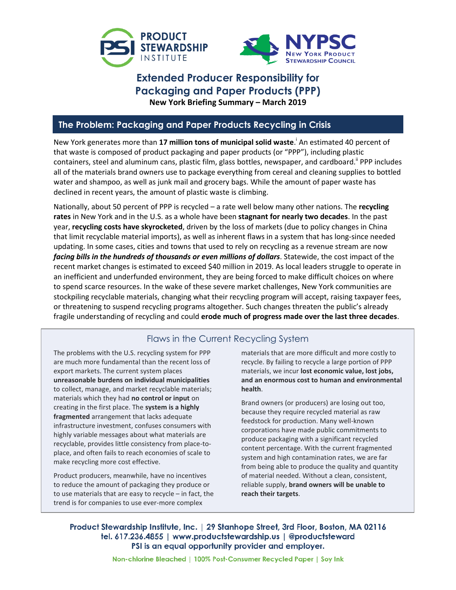



# **Extended Producer Responsibility for Packaging and Paper Products (PPP) New York Briefing Summary – March 2019**

### **The Problem: Packaging and Paper Products Recycling in Crisis**

New York generates more than **17 million tons of municipal solid waste**. i An estimated 40 percent of that waste is composed of product packaging and paper products (or "PPP"), including plastic containers, steel and aluminum cans, plastic film, glass bottles, newspaper, and cardboard.<sup>"</sup> PPP includes all of the materials brand owners use to package everything from cereal and cleaning supplies to bottled water and shampoo, as well as junk mail and grocery bags. While the amount of paper waste has declined in recent years, the amount of plastic waste is climbing.

Nationally, about 50 percent of PPP is recycled – a rate well below many other nations. The **recycling rates** in New York and in the U.S. as a whole have been **stagnant for nearly two decades**. In the past year, **recycling costs have skyrocketed**, driven by the loss of markets (due to policy changes in China that limit recyclable material imports), as well as inherent flaws in a system that has long-since needed updating. In some cases, cities and towns that used to rely on recycling as a revenue stream are now *facing bills in the hundreds of thousands or even millions of dollars*. Statewide, the cost impact of the recent market changes is estimated to exceed \$40 million in 2019. As local leaders struggle to operate in an inefficient and underfunded environment, they are being forced to make difficult choices on where to spend scarce resources. In the wake of these severe market challenges, New York communities are stockpiling recyclable materials, changing what their recycling program will accept, raising taxpayer fees, or threatening to suspend recycling programs altogether. Such changes threaten the public's already fragile understanding of recycling and could **erode much of progress made over the last three decades**.

## Flaws in the Current Recycling System

The problems with the U.S. recycling system for PPP are much more fundamental than the recent loss of export markets. The current system places **unreasonable burdens on individual municipalities** to collect, manage, and market recyclable materials; materials which they had **no control or input** on creating in the first place. The **system is a highly fragmented** arrangement that lacks adequate infrastructure investment, confuses consumers with highly variable messages about what materials are recyclable, provides little consistency from place-toplace, and often fails to reach economies of scale to make recycling more cost effective.

Product producers, meanwhile, have no incentives to reduce the amount of packaging they produce or to use materials that are easy to recycle – in fact, the trend is for companies to use ever-more complex

materials that are more difficult and more costly to recycle. By failing to recycle a large portion of PPP materials, we incur **lost economic value, lost jobs, and an enormous cost to human and environmental health**.

Brand owners (or producers) are losing out too, because they require recycled material as raw feedstock for production. Many well-known corporations have made public commitments to produce packaging with a significant recycled content percentage. With the current fragmented system and high contamination rates, we are far from being able to produce the quality and quantity of material needed. Without a clean, consistent, reliable supply, **brand owners will be unable to reach their targets**.

Product Stewardship Institute, Inc. | 29 Stanhope Street, 3rd Floor, Boston, MA 02116 tel. 617.236.4855 | www.productstewardship.us | @productsteward PSI is an equal opportunity provider and employer.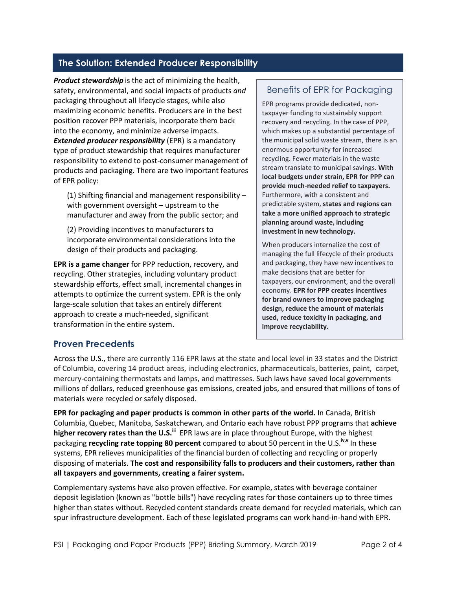# **The Solution: Extended Producer Responsibility**

*Product stewardship* is the act of minimizing the health, safety, environmental, and social impacts of products *and* packaging throughout all lifecycle stages, while also maximizing economic benefits. Producers are in the best position recover PPP materials, incorporate them back into the economy, and minimize adverse impacts. *Extended producer responsibility* (EPR) is a mandatory type of product stewardship that requires manufacturer responsibility to extend to post-consumer management of products and packaging. There are two important features of EPR policy:

(1) Shifting financial and management responsibility – with government oversight – upstream to the manufacturer and away from the public sector; and

(2) Providing incentives to manufacturers to incorporate environmental considerations into the design of their products and packaging.

**EPR is a game changer** for PPP reduction, recovery, and recycling. Other strategies, including voluntary product stewardship efforts, effect small, incremental changes in attempts to optimize the current system. EPR is the only large-scale solution that takes an entirely different approach to create a much-needed, significant transformation in the entire system.

### Benefits of EPR for Packaging

EPR programs provide dedicated, nontaxpayer funding to sustainably support recovery and recycling. In the case of PPP, which makes up a substantial percentage of the municipal solid waste stream, there is an enormous opportunity for increased recycling. Fewer materials in the waste stream translate to municipal savings. **With local budgets under strain, EPR for PPP can provide much-needed relief to taxpayers.**  Furthermore, with a consistent and predictable system, **states and regions can take a more unified approach to strategic planning around waste, including investment in new technology.**

When producers internalize the cost of managing the full lifecycle of their products and packaging, they have new incentives to make decisions that are better for taxpayers, our environment, and the overall economy. **EPR for PPP creates incentives for brand owners to improve packaging design, reduce the amount of materials used, reduce toxicity in packaging, and improve recyclability.** 

### **Proven Precedents**

Across the U.S., there are currently 116 EPR laws at the state and local level in 33 states and the District of Columbia, covering 14 product areas, including electronics, pharmaceuticals, batteries, paint, carpet, mercury-containing thermostats and lamps, and mattresses. Such laws have saved local governments millions of dollars, reduced greenhouse gas emissions, created jobs, and ensured that millions of tons of materials were recycled or safely disposed.

**EPR for packaging and paper products is common in other parts of the world.** In Canada, British Columbia, Quebec, Manitoba, Saskatchewan, and Ontario each have robust PPP programs that **achieve higher recovery rates than the U.S.**<sup>III</sup> EPR laws are in place throughout Europe, with the highest packaging **recycling rate topping 80 percent** compared to about 50 percent in the U.S.<sup>iv,v</sup> In these systems, EPR relieves municipalities of the financial burden of collecting and recycling or properly disposing of materials. **The cost and responsibility falls to producers and their customers, rather than all taxpayers and governments, creating a fairer system.**

Complementary systems have also proven effective. For example, states with beverage container deposit legislation (known as "bottle bills") have recycling rates for those containers up to three times higher than states without. Recycled content standards create demand for recycled materials, which can spur infrastructure development. Each of these legislated programs can work hand-in-hand with EPR.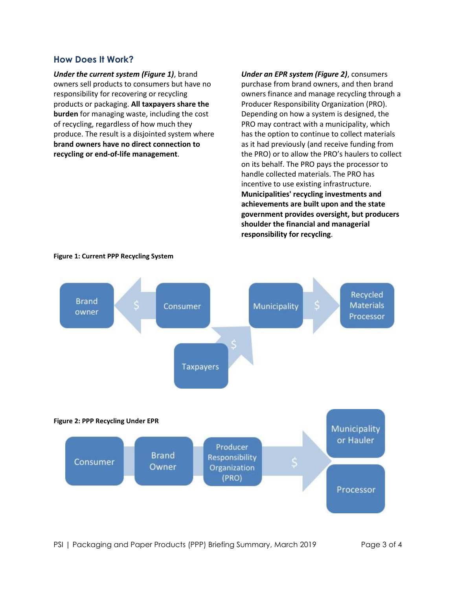#### **How Does It Work?**

*Under the current system (Figure 1)*, brand owners sell products to consumers but have no responsibility for recovering or recycling products or packaging. **All taxpayers share the burden** for managing waste, including the cost of recycling, regardless of how much they produce. The result is a disjointed system where **brand owners have no direct connection to recycling or end-of-life management**.

*Under an EPR system (Figure 2)*, consumers purchase from brand owners, and then brand owners finance and manage recycling through a Producer Responsibility Organization (PRO). Depending on how a system is designed, the PRO may contract with a municipality, which has the option to continue to collect materials as it had previously (and receive funding from the PRO) or to allow the PRO's haulers to collect on its behalf. The PRO pays the processor to handle collected materials. The PRO has incentive to use existing infrastructure. **Municipalities' recycling investments and achievements are built upon and the state government provides oversight, but producers shoulder the financial and managerial responsibility for recycling**.



**Figure 1: Current PPP Recycling System**